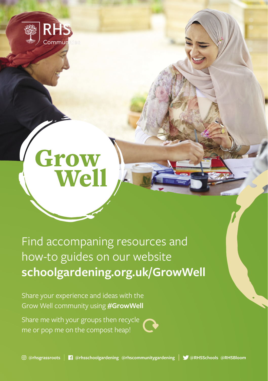

## **Grow**<br>Well

Find accompaning resources and how-to guides on our website **schoolgardening.org.uk/GrowWell**

Share your experience and ideas with the Grow Well community using **#GrowWell** 

Share me with your groups then recycle me or pop me on the compost heap!